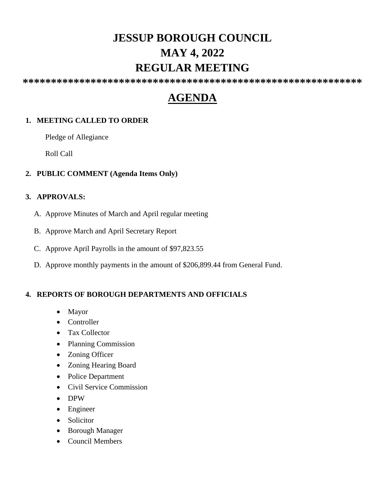# **JESSUP BOROUGH COUNCIL MAY 4, 2022 REGULAR MEETING**

**\*\*\*\*\*\*\*\*\*\*\*\*\*\*\*\*\*\*\*\*\*\*\*\*\*\*\*\*\*\*\*\*\*\*\*\*\*\*\*\*\*\*\*\*\*\*\*\*\*\*\*\*\*\*\*\*\*\*\*\***

# **AGENDA**

# **1. MEETING CALLED TO ORDER**

Pledge of Allegiance

Roll Call

## **2. PUBLIC COMMENT (Agenda Items Only)**

### **3. APPROVALS:**

- A. Approve Minutes of March and April regular meeting
- B. Approve March and April Secretary Report
- C. Approve April Payrolls in the amount of \$97,823.55
- D. Approve monthly payments in the amount of \$206,899.44 from General Fund.

# **4. REPORTS OF BOROUGH DEPARTMENTS AND OFFICIALS**

- Mayor
- Controller
- Tax Collector
- Planning Commission
- Zoning Officer
- Zoning Hearing Board
- Police Department
- Civil Service Commission
- DPW
- Engineer
- Solicitor
- Borough Manager
- Council Members